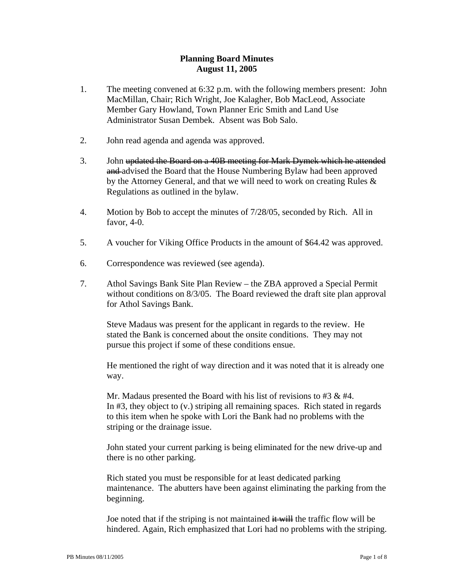## **Planning Board Minutes August 11, 2005**

- 1. The meeting convened at 6:32 p.m. with the following members present: John MacMillan, Chair; Rich Wright, Joe Kalagher, Bob MacLeod, Associate Member Gary Howland, Town Planner Eric Smith and Land Use Administrator Susan Dembek. Absent was Bob Salo.
- 2. John read agenda and agenda was approved.
- 3. John updated the Board on a 40B meeting for Mark Dymek which he attended and advised the Board that the House Numbering Bylaw had been approved by the Attorney General, and that we will need to work on creating Rules & Regulations as outlined in the bylaw.
- 4. Motion by Bob to accept the minutes of 7/28/05, seconded by Rich. All in favor, 4-0.
- 5. A voucher for Viking Office Products in the amount of \$64.42 was approved.
- 6. Correspondence was reviewed (see agenda).
- 7. Athol Savings Bank Site Plan Review the ZBA approved a Special Permit without conditions on 8/3/05. The Board reviewed the draft site plan approval for Athol Savings Bank.

Steve Madaus was present for the applicant in regards to the review. He stated the Bank is concerned about the onsite conditions. They may not pursue this project if some of these conditions ensue.

He mentioned the right of way direction and it was noted that it is already one way.

Mr. Madaus presented the Board with his list of revisions to #3 & #4. In #3, they object to (v.) striping all remaining spaces. Rich stated in regards to this item when he spoke with Lori the Bank had no problems with the striping or the drainage issue.

John stated your current parking is being eliminated for the new drive-up and there is no other parking.

Rich stated you must be responsible for at least dedicated parking maintenance. The abutters have been against eliminating the parking from the beginning.

Joe noted that if the striping is not maintained  $\frac{d}{dx} + \frac{d}{dx}$  the traffic flow will be hindered. Again, Rich emphasized that Lori had no problems with the striping.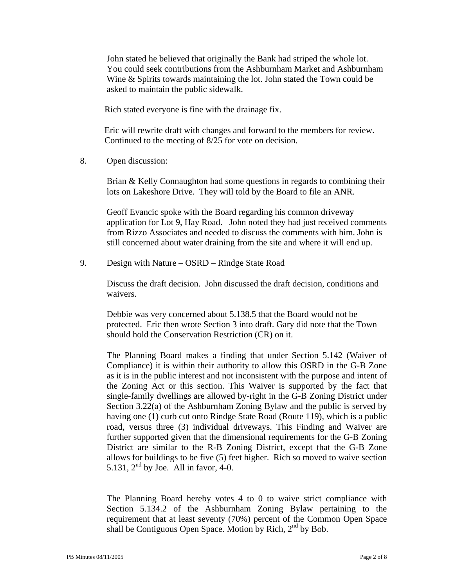John stated he believed that originally the Bank had striped the whole lot. You could seek contributions from the Ashburnham Market and Ashburnham Wine & Spirits towards maintaining the lot. John stated the Town could be asked to maintain the public sidewalk.

Rich stated everyone is fine with the drainage fix.

 Eric will rewrite draft with changes and forward to the members for review. Continued to the meeting of 8/25 for vote on decision.

8. Open discussion:

Brian & Kelly Connaughton had some questions in regards to combining their lots on Lakeshore Drive. They will told by the Board to file an ANR.

Geoff Evancic spoke with the Board regarding his common driveway application for Lot 9, Hay Road. John noted they had just received comments from Rizzo Associates and needed to discuss the comments with him. John is still concerned about water draining from the site and where it will end up.

9. Design with Nature – OSRD – Rindge State Road

Discuss the draft decision. John discussed the draft decision, conditions and waivers.

Debbie was very concerned about 5.138.5 that the Board would not be protected. Eric then wrote Section 3 into draft. Gary did note that the Town should hold the Conservation Restriction (CR) on it.

The Planning Board makes a finding that under Section 5.142 (Waiver of Compliance) it is within their authority to allow this OSRD in the G-B Zone as it is in the public interest and not inconsistent with the purpose and intent of the Zoning Act or this section. This Waiver is supported by the fact that single-family dwellings are allowed by-right in the G-B Zoning District under Section 3.22(a) of the Ashburnham Zoning Bylaw and the public is served by having one (1) curb cut onto Rindge State Road (Route 119), which is a public road, versus three (3) individual driveways. This Finding and Waiver are further supported given that the dimensional requirements for the G-B Zoning District are similar to the R-B Zoning District, except that the G-B Zone allows for buildings to be five (5) feet higher. Rich so moved to waive section 5.131,  $2<sup>nd</sup>$  by Joe. All in favor, 4-0.

The Planning Board hereby votes 4 to 0 to waive strict compliance with Section 5.134.2 of the Ashburnham Zoning Bylaw pertaining to the requirement that at least seventy (70%) percent of the Common Open Space shall be Contiguous Open Space. Motion by Rich,  $2<sup>nd</sup>$  by Bob.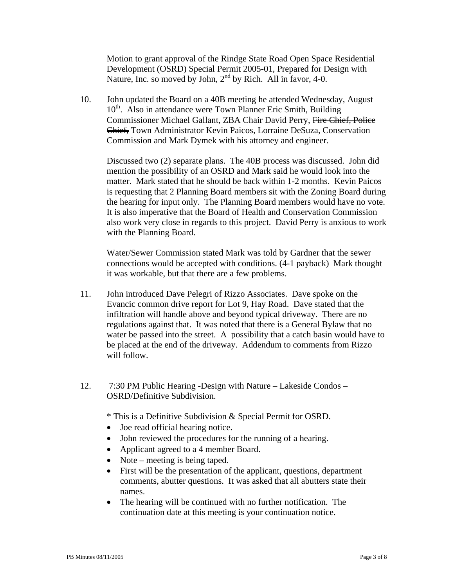Motion to grant approval of the Rindge State Road Open Space Residential Development (OSRD) Special Permit 2005-01, Prepared for Design with Nature, Inc. so moved by John,  $2<sup>nd</sup>$  by Rich. All in favor, 4-0.

10. John updated the Board on a 40B meeting he attended Wednesday, August 10<sup>th</sup>. Also in attendance were Town Planner Eric Smith, Building Commissioner Michael Gallant, ZBA Chair David Perry, Fire Chief, Police Chief, Town Administrator Kevin Paicos, Lorraine DeSuza, Conservation Commission and Mark Dymek with his attorney and engineer.

Discussed two (2) separate plans. The 40B process was discussed. John did mention the possibility of an OSRD and Mark said he would look into the matter. Mark stated that he should be back within 1-2 months. Kevin Paicos is requesting that 2 Planning Board members sit with the Zoning Board during the hearing for input only. The Planning Board members would have no vote. It is also imperative that the Board of Health and Conservation Commission also work very close in regards to this project. David Perry is anxious to work with the Planning Board.

Water/Sewer Commission stated Mark was told by Gardner that the sewer connections would be accepted with conditions. (4-1 payback) Mark thought it was workable, but that there are a few problems.

- 11. John introduced Dave Pelegri of Rizzo Associates. Dave spoke on the Evancic common drive report for Lot 9, Hay Road. Dave stated that the infiltration will handle above and beyond typical driveway. There are no regulations against that. It was noted that there is a General Bylaw that no water be passed into the street. A possibility that a catch basin would have to be placed at the end of the driveway. Addendum to comments from Rizzo will follow.
- 12. 7:30 PM Public Hearing -Design with Nature Lakeside Condos OSRD/Definitive Subdivision.

\* This is a Definitive Subdivision & Special Permit for OSRD.

- Joe read official hearing notice.
- John reviewed the procedures for the running of a hearing.
- Applicant agreed to a 4 member Board.
- Note meeting is being taped.
- First will be the presentation of the applicant, questions, department comments, abutter questions. It was asked that all abutters state their names.
- The hearing will be continued with no further notification. The continuation date at this meeting is your continuation notice.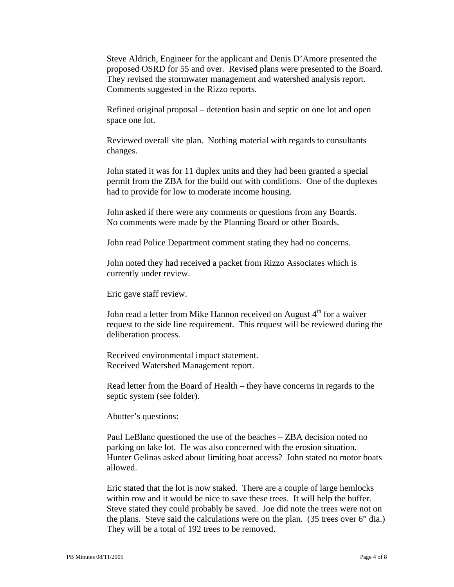Steve Aldrich, Engineer for the applicant and Denis D'Amore presented the proposed OSRD for 55 and over. Revised plans were presented to the Board. They revised the stormwater management and watershed analysis report. Comments suggested in the Rizzo reports.

Refined original proposal – detention basin and septic on one lot and open space one lot.

Reviewed overall site plan. Nothing material with regards to consultants changes.

John stated it was for 11 duplex units and they had been granted a special permit from the ZBA for the build out with conditions. One of the duplexes had to provide for low to moderate income housing.

John asked if there were any comments or questions from any Boards. No comments were made by the Planning Board or other Boards.

John read Police Department comment stating they had no concerns.

John noted they had received a packet from Rizzo Associates which is currently under review.

Eric gave staff review.

John read a letter from Mike Hannon received on August  $4<sup>th</sup>$  for a waiver request to the side line requirement. This request will be reviewed during the deliberation process.

Received environmental impact statement. Received Watershed Management report.

Read letter from the Board of Health – they have concerns in regards to the septic system (see folder).

Abutter's questions:

Paul LeBlanc questioned the use of the beaches – ZBA decision noted no parking on lake lot. He was also concerned with the erosion situation. Hunter Gelinas asked about limiting boat access? John stated no motor boats allowed.

Eric stated that the lot is now staked. There are a couple of large hemlocks within row and it would be nice to save these trees. It will help the buffer. Steve stated they could probably be saved. Joe did note the trees were not on the plans. Steve said the calculations were on the plan. (35 trees over 6" dia.) They will be a total of 192 trees to be removed.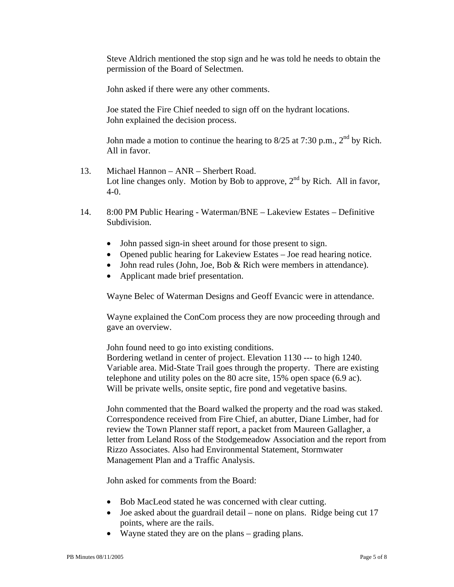Steve Aldrich mentioned the stop sign and he was told he needs to obtain the permission of the Board of Selectmen.

John asked if there were any other comments.

Joe stated the Fire Chief needed to sign off on the hydrant locations. John explained the decision process.

John made a motion to continue the hearing to  $8/25$  at 7:30 p.m.,  $2<sup>nd</sup>$  by Rich. All in favor.

- 13. Michael Hannon ANR Sherbert Road. Lot line changes only. Motion by Bob to approve,  $2<sup>nd</sup>$  by Rich. All in favor, 4-0.
- 14. 8:00 PM Public Hearing Waterman/BNE Lakeview Estates Definitive Subdivision.
	- John passed sign-in sheet around for those present to sign.
	- Opened public hearing for Lakeview Estates Joe read hearing notice.
	- John read rules (John, Joe, Bob & Rich were members in attendance).
	- Applicant made brief presentation.

Wayne Belec of Waterman Designs and Geoff Evancic were in attendance.

Wayne explained the ConCom process they are now proceeding through and gave an overview.

John found need to go into existing conditions.

Bordering wetland in center of project. Elevation 1130 --- to high 1240. Variable area. Mid-State Trail goes through the property. There are existing telephone and utility poles on the 80 acre site, 15% open space (6.9 ac). Will be private wells, onsite septic, fire pond and vegetative basins.

John commented that the Board walked the property and the road was staked. Correspondence received from Fire Chief, an abutter, Diane Limber, had for review the Town Planner staff report, a packet from Maureen Gallagher, a letter from Leland Ross of the Stodgemeadow Association and the report from Rizzo Associates. Also had Environmental Statement, Stormwater Management Plan and a Traffic Analysis.

John asked for comments from the Board:

- Bob MacLeod stated he was concerned with clear cutting.
- Joe asked about the guardrail detail none on plans. Ridge being cut 17 points, where are the rails.
- Wayne stated they are on the plans grading plans.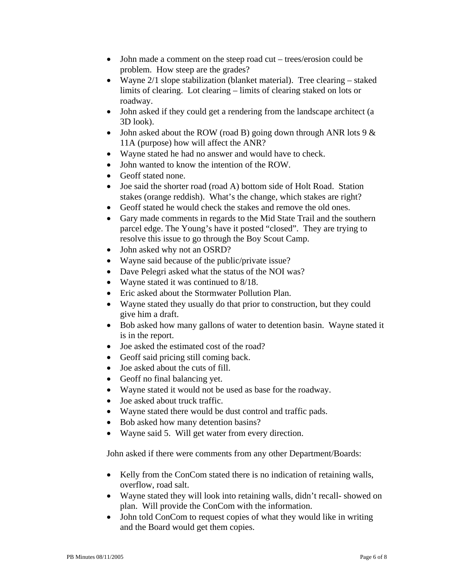- John made a comment on the steep road cut trees/erosion could be problem. How steep are the grades?
- Wayne 2/1 slope stabilization (blanket material). Tree clearing staked limits of clearing. Lot clearing – limits of clearing staked on lots or roadway.
- John asked if they could get a rendering from the landscape architect (a 3D look).
- John asked about the ROW (road B) going down through ANR lots  $9 < x$ 11A (purpose) how will affect the ANR?
- Wayne stated he had no answer and would have to check.
- John wanted to know the intention of the ROW.
- Geoff stated none.
- Joe said the shorter road (road A) bottom side of Holt Road. Station stakes (orange reddish). What's the change, which stakes are right?
- Geoff stated he would check the stakes and remove the old ones.
- Gary made comments in regards to the Mid State Trail and the southern parcel edge. The Young's have it posted "closed". They are trying to resolve this issue to go through the Boy Scout Camp.
- John asked why not an OSRD?
- Wayne said because of the public/private issue?
- Dave Pelegri asked what the status of the NOI was?
- Wayne stated it was continued to 8/18.
- Eric asked about the Stormwater Pollution Plan.
- Wayne stated they usually do that prior to construction, but they could give him a draft.
- Bob asked how many gallons of water to detention basin. Wayne stated it is in the report.
- Joe asked the estimated cost of the road?
- Geoff said pricing still coming back.
- Joe asked about the cuts of fill.
- Geoff no final balancing yet.
- Wayne stated it would not be used as base for the roadway.
- Joe asked about truck traffic.
- Wayne stated there would be dust control and traffic pads.
- Bob asked how many detention basins?
- Wayne said 5. Will get water from every direction.

John asked if there were comments from any other Department/Boards:

- Kelly from the ConCom stated there is no indication of retaining walls, overflow, road salt.
- Wayne stated they will look into retaining walls, didn't recall-showed on plan. Will provide the ConCom with the information.
- John told ConCom to request copies of what they would like in writing and the Board would get them copies.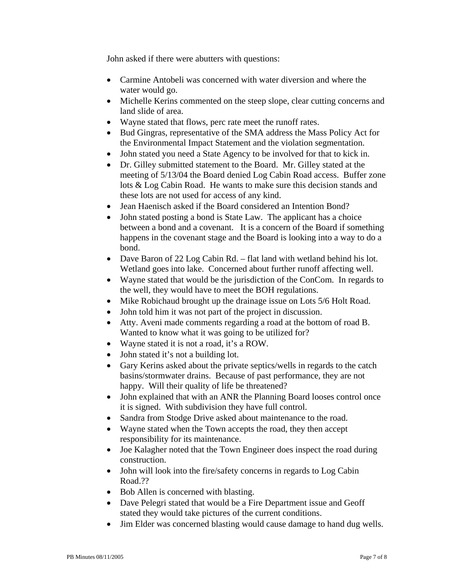John asked if there were abutters with questions:

- Carmine Antobeli was concerned with water diversion and where the water would go.
- Michelle Kerins commented on the steep slope, clear cutting concerns and land slide of area.
- Wayne stated that flows, perc rate meet the runoff rates.
- Bud Gingras, representative of the SMA address the Mass Policy Act for the Environmental Impact Statement and the violation segmentation.
- John stated you need a State Agency to be involved for that to kick in.
- Dr. Gilley submitted statement to the Board. Mr. Gilley stated at the meeting of 5/13/04 the Board denied Log Cabin Road access. Buffer zone lots & Log Cabin Road. He wants to make sure this decision stands and these lots are not used for access of any kind.
- Jean Haenisch asked if the Board considered an Intention Bond?
- John stated posting a bond is State Law. The applicant has a choice between a bond and a covenant. It is a concern of the Board if something happens in the covenant stage and the Board is looking into a way to do a bond.
- Dave Baron of 22 Log Cabin Rd. flat land with wetland behind his lot. Wetland goes into lake. Concerned about further runoff affecting well.
- Wayne stated that would be the jurisdiction of the ConCom. In regards to the well, they would have to meet the BOH regulations.
- Mike Robichaud brought up the drainage issue on Lots 5/6 Holt Road.
- John told him it was not part of the project in discussion.
- Atty. Aveni made comments regarding a road at the bottom of road B. Wanted to know what it was going to be utilized for?
- Wayne stated it is not a road, it's a ROW.
- John stated it's not a building lot.
- Gary Kerins asked about the private septics/wells in regards to the catch basins/stormwater drains. Because of past performance, they are not happy. Will their quality of life be threatened?
- John explained that with an ANR the Planning Board looses control once it is signed. With subdivision they have full control.
- Sandra from Stodge Drive asked about maintenance to the road.
- Wayne stated when the Town accepts the road, they then accept responsibility for its maintenance.
- Joe Kalagher noted that the Town Engineer does inspect the road during construction.
- John will look into the fire/safety concerns in regards to Log Cabin Road.??
- Bob Allen is concerned with blasting.
- Dave Pelegri stated that would be a Fire Department issue and Geoff stated they would take pictures of the current conditions.
- Jim Elder was concerned blasting would cause damage to hand dug wells.